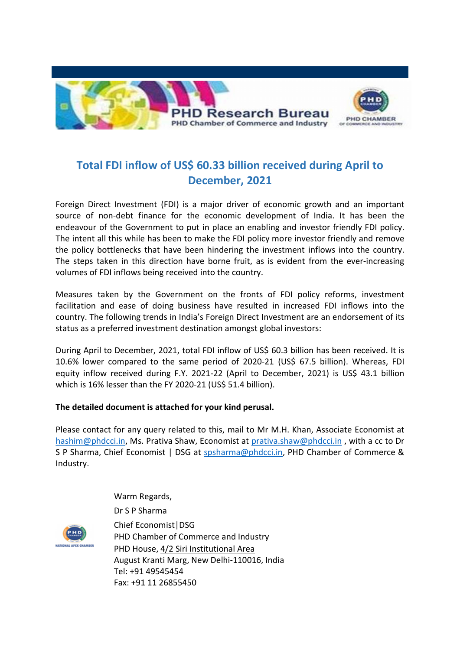

## Total FDI inflow of US\$ 60.33 billion received during April to December, 2021

Foreign Direct Investment (FDI) is a major driver of economic growth and an important source of non-debt finance for the economic development of India. It has been the endeavour of the Government to put in place an enabling and investor friendly FDI policy. The intent all this while has been to make the FDI policy more investor friendly and remove the policy bottlenecks that have been hindering the investment inflows into the country. The steps taken in this direction have borne fruit, as is evident from the ever-increasing volumes of FDI inflows being received into the country.

Measures taken by the Government on the fronts of FDI policy reforms, investment facilitation and ease of doing business have resulted in increased FDI inflows into the country. The following trends in India's Foreign Direct Investment are an endorsement of its status as a preferred investment destination amongst global investors:

During April to December, 2021, total FDI inflow of US\$ 60.3 billion has been received. It is 10.6% lower compared to the same period of 2020-21 (US\$ 67.5 billion). Whereas, FDI equity inflow received during F.Y. 2021-22 (April to December, 2021) is US\$ 43.1 billion which is 16% lesser than the FY 2020-21 (US\$ 51.4 billion).

## The detailed document is attached for your kind perusal.

Please contact for any query related to this, mail to Mr M.H. Khan, Associate Economist at hashim@phdcci.in, Ms. Prativa Shaw, Economist at prativa.shaw@phdcci.in , with a cc to Dr S P Sharma, Chief Economist | DSG at spsharma@phdcci.in, PHD Chamber of Commerce & Industry.



Warm Regards, Dr S P Sharma Chief Economist|DSG PHD Chamber of Commerce and Industry PHD House, 4/2 Siri Institutional Area August Kranti Marg, New Delhi-110016, India Tel: +91 49545454 Fax: +91 11 26855450